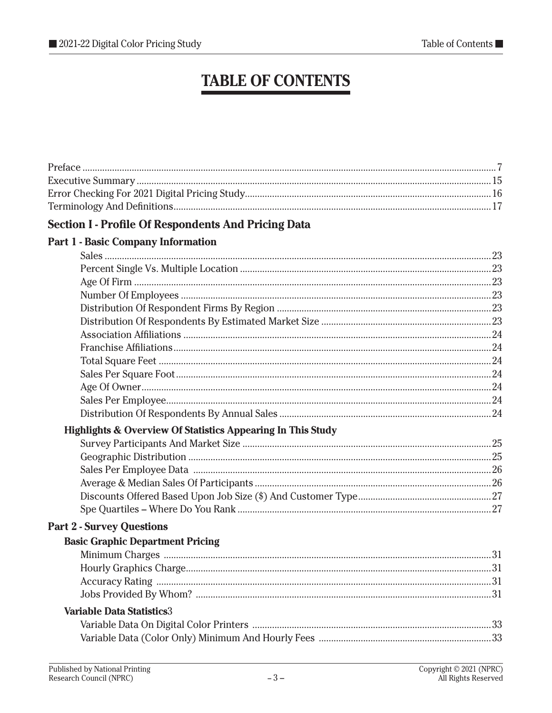## **TABLE OF CONTENTS**

| <b>Section I - Profile Of Respondents And Pricing Data</b>             |  |
|------------------------------------------------------------------------|--|
| <b>Part 1 - Basic Company Information</b>                              |  |
|                                                                        |  |
|                                                                        |  |
|                                                                        |  |
|                                                                        |  |
|                                                                        |  |
|                                                                        |  |
|                                                                        |  |
|                                                                        |  |
|                                                                        |  |
|                                                                        |  |
|                                                                        |  |
|                                                                        |  |
|                                                                        |  |
| <b>Highlights &amp; Overview Of Statistics Appearing In This Study</b> |  |
|                                                                        |  |
|                                                                        |  |
|                                                                        |  |
|                                                                        |  |
|                                                                        |  |
|                                                                        |  |
| <b>Part 2 - Survey Questions</b>                                       |  |
| <b>Basic Graphic Department Pricing</b>                                |  |
|                                                                        |  |
|                                                                        |  |
|                                                                        |  |
|                                                                        |  |
| <b>Variable Data Statistics3</b>                                       |  |
|                                                                        |  |
|                                                                        |  |
|                                                                        |  |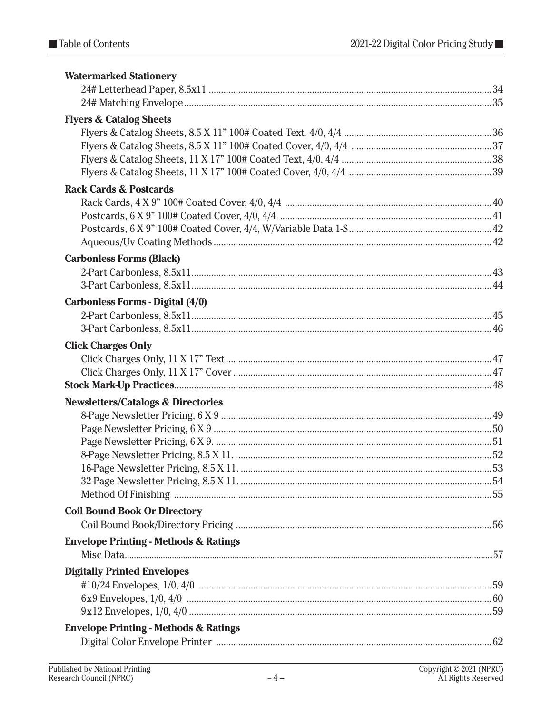| <b>Watermarked Stationery</b>                    |  |
|--------------------------------------------------|--|
|                                                  |  |
|                                                  |  |
| <b>Flyers &amp; Catalog Sheets</b>               |  |
|                                                  |  |
|                                                  |  |
|                                                  |  |
|                                                  |  |
| <b>Rack Cards &amp; Postcards</b>                |  |
|                                                  |  |
|                                                  |  |
|                                                  |  |
|                                                  |  |
| <b>Carbonless Forms (Black)</b>                  |  |
|                                                  |  |
|                                                  |  |
|                                                  |  |
| Carbonless Forms - Digital (4/0)                 |  |
|                                                  |  |
|                                                  |  |
| <b>Click Charges Only</b>                        |  |
|                                                  |  |
|                                                  |  |
|                                                  |  |
| <b>Newsletters/Catalogs &amp; Directories</b>    |  |
|                                                  |  |
|                                                  |  |
|                                                  |  |
|                                                  |  |
|                                                  |  |
|                                                  |  |
|                                                  |  |
| <b>Coil Bound Book Or Directory</b>              |  |
|                                                  |  |
| <b>Envelope Printing - Methods &amp; Ratings</b> |  |
|                                                  |  |
| <b>Digitally Printed Envelopes</b>               |  |
|                                                  |  |
|                                                  |  |
|                                                  |  |
|                                                  |  |
| <b>Envelope Printing - Methods &amp; Ratings</b> |  |
|                                                  |  |